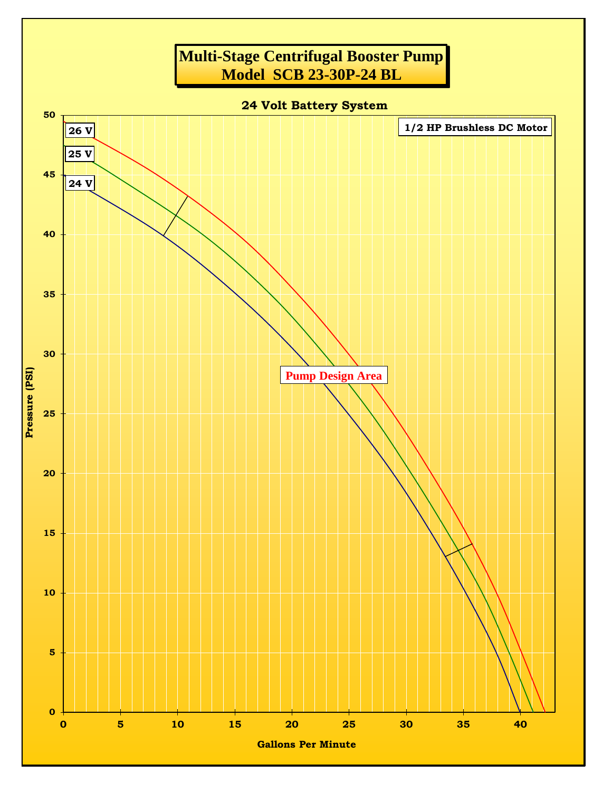